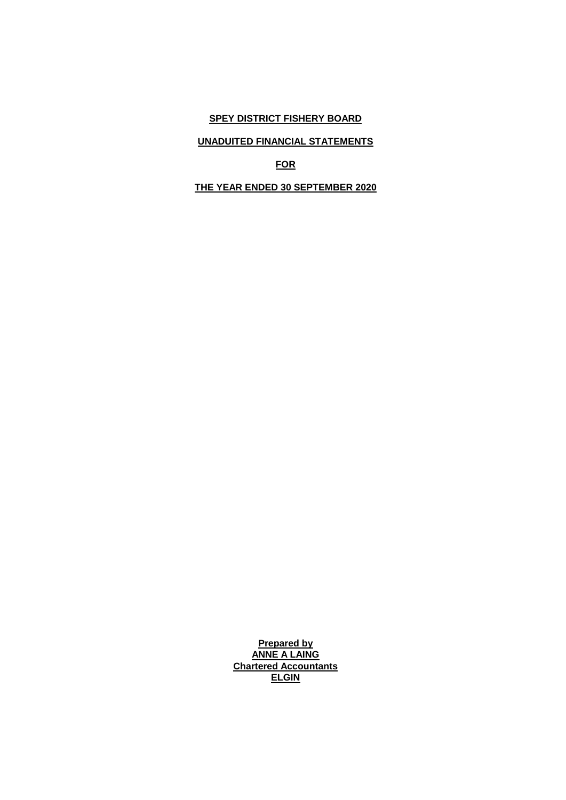# **UNADUITED FINANCIAL STATEMENTS**

**FOR**

**THE YEAR ENDED 30 SEPTEMBER 2020**

**Prepared by ANNE A LAING Chartered Accountants ELGIN**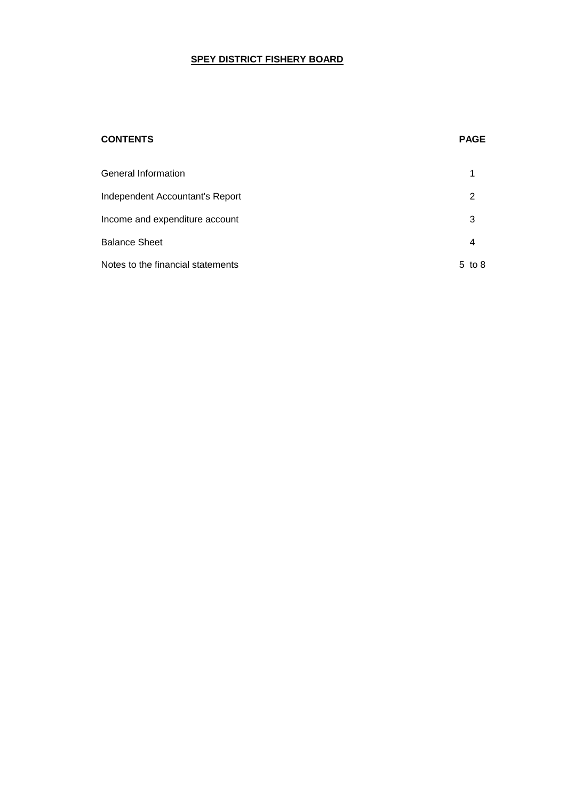## **CONTENTS PAGE**

| General Information               |            |
|-----------------------------------|------------|
| Independent Accountant's Report   | 2          |
| Income and expenditure account    | 3          |
| <b>Balance Sheet</b>              | 4          |
| Notes to the financial statements | to 8<br>5. |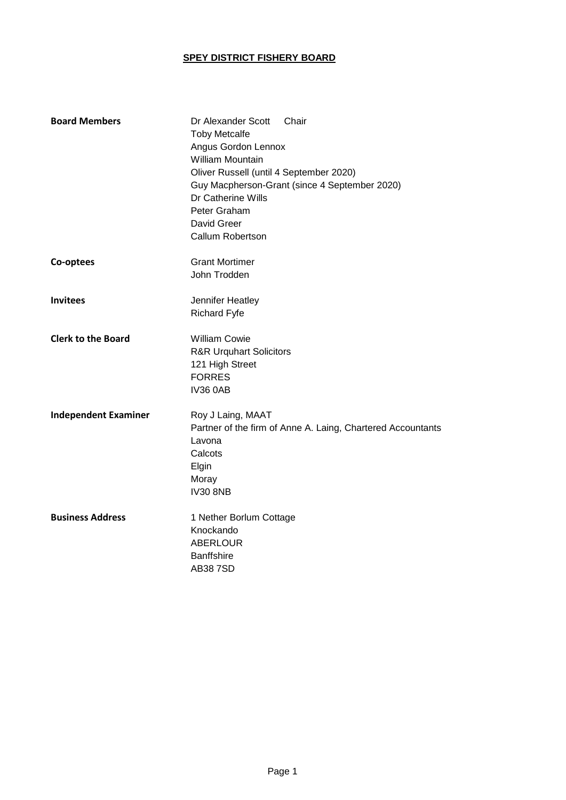| <b>Board Members</b>        | Dr Alexander Scott<br>Chair<br><b>Toby Metcalfe</b><br>Angus Gordon Lennox<br><b>William Mountain</b><br>Oliver Russell (until 4 September 2020)<br>Guy Macpherson-Grant (since 4 September 2020)<br>Dr Catherine Wills<br>Peter Graham<br>David Greer<br>Callum Robertson |
|-----------------------------|----------------------------------------------------------------------------------------------------------------------------------------------------------------------------------------------------------------------------------------------------------------------------|
| Co-optees                   | <b>Grant Mortimer</b><br>John Trodden                                                                                                                                                                                                                                      |
| <b>Invitees</b>             | Jennifer Heatley<br><b>Richard Fyfe</b>                                                                                                                                                                                                                                    |
| <b>Clerk to the Board</b>   | <b>William Cowie</b><br><b>R&amp;R Urquhart Solicitors</b><br>121 High Street<br><b>FORRES</b><br><b>IV36 0AB</b>                                                                                                                                                          |
| <b>Independent Examiner</b> | Roy J Laing, MAAT<br>Partner of the firm of Anne A. Laing, Chartered Accountants<br>Lavona<br>Calcots<br>Elgin<br>Moray<br><b>IV30 8NB</b>                                                                                                                                 |
| <b>Business Address</b>     | 1 Nether Borlum Cottage<br>Knockando<br><b>ABERLOUR</b><br><b>Banffshire</b><br><b>AB387SD</b>                                                                                                                                                                             |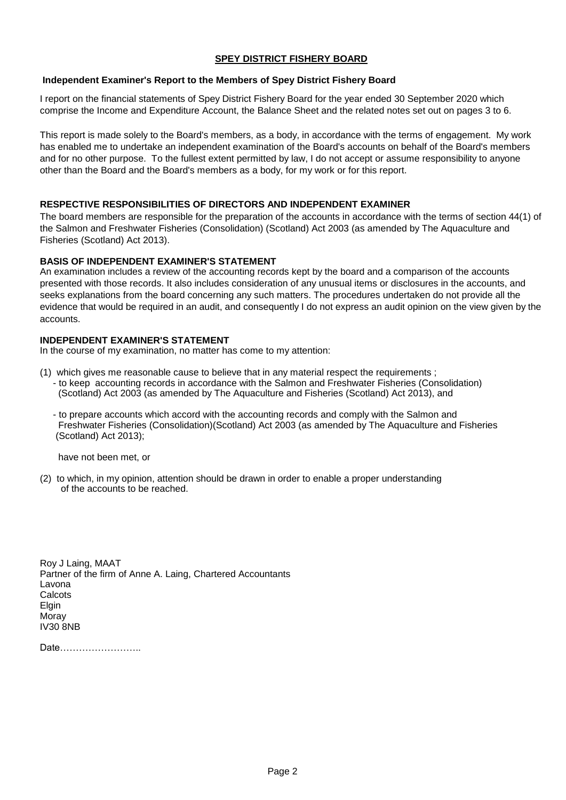## **Independent Examiner's Report to the Members of Spey District Fishery Board**

I report on the financial statements of Spey District Fishery Board for the year ended 30 September 2020 which comprise the Income and Expenditure Account, the Balance Sheet and the related notes set out on pages 3 to 6.

This report is made solely to the Board's members, as a body, in accordance with the terms of engagement. My work has enabled me to undertake an independent examination of the Board's accounts on behalf of the Board's members and for no other purpose. To the fullest extent permitted by law, I do not accept or assume responsibility to anyone other than the Board and the Board's members as a body, for my work or for this report.

## **RESPECTIVE RESPONSIBILITIES OF DIRECTORS AND INDEPENDENT EXAMINER**

The board members are responsible for the preparation of the accounts in accordance with the terms of section 44(1) of the Salmon and Freshwater Fisheries (Consolidation) (Scotland) Act 2003 (as amended by The Aquaculture and Fisheries (Scotland) Act 2013).

## **BASIS OF INDEPENDENT EXAMINER'S STATEMENT**

An examination includes a review of the accounting records kept by the board and a comparison of the accounts presented with those records. It also includes consideration of any unusual items or disclosures in the accounts, and seeks explanations from the board concerning any such matters. The procedures undertaken do not provide all the evidence that would be required in an audit, and consequently I do not express an audit opinion on the view given by the accounts.

## **INDEPENDENT EXAMINER'S STATEMENT**

In the course of my examination, no matter has come to my attention:

- (1) which gives me reasonable cause to believe that in any material respect the requirements ; - to keep accounting records in accordance with the Salmon and Freshwater Fisheries (Consolidation) (Scotland) Act 2003 (as amended by The Aquaculture and Fisheries (Scotland) Act 2013), and
	- to prepare accounts which accord with the accounting records and comply with the Salmon and Freshwater Fisheries (Consolidation)(Scotland) Act 2003 (as amended by The Aquaculture and Fisheries (Scotland) Act 2013);

have not been met, or

(2) to which, in my opinion, attention should be drawn in order to enable a proper understanding of the accounts to be reached.

Roy J Laing, MAAT Partner of the firm of Anne A. Laing, Chartered Accountants Lavona **Calcots** Elgin Moray IV30 8NB

Date……………………..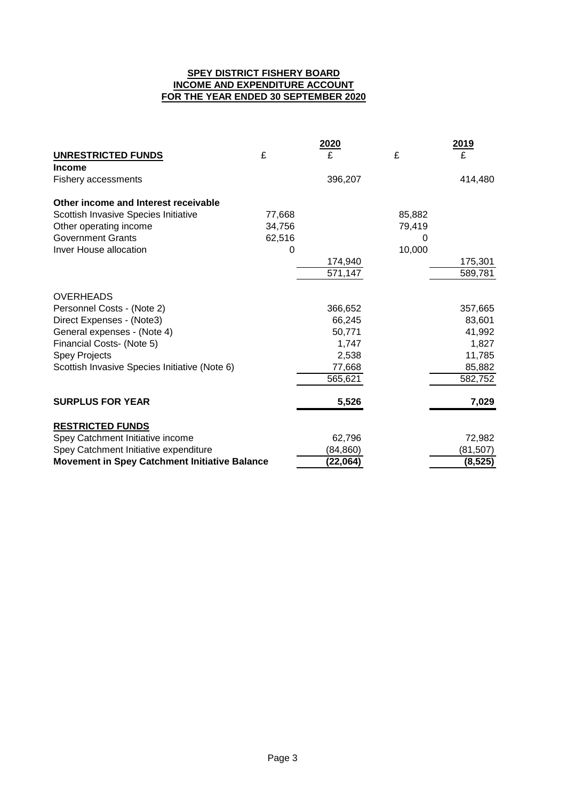## **SPEY DISTRICT FISHERY BOARD INCOME AND EXPENDITURE ACCOUNT FOR THE YEAR ENDED 30 SEPTEMBER 2020**

|                                               |        | <b>2020</b> |        | 2019     |
|-----------------------------------------------|--------|-------------|--------|----------|
| UNRESTRICTED FUNDS                            | £      | £           | £      | £        |
| <b>Income</b>                                 |        |             |        |          |
| <b>Fishery accessments</b>                    |        | 396,207     |        | 414,480  |
| Other income and Interest receivable          |        |             |        |          |
| Scottish Invasive Species Initiative          | 77,668 |             | 85,882 |          |
| Other operating income                        | 34,756 |             | 79,419 |          |
| <b>Government Grants</b>                      | 62,516 |             | 0      |          |
| Inver House allocation                        | 0      |             | 10,000 |          |
|                                               |        | 174,940     |        | 175,301  |
|                                               |        | 571,147     |        | 589,781  |
| <b>OVERHEADS</b>                              |        |             |        |          |
| Personnel Costs - (Note 2)                    |        | 366,652     |        | 357,665  |
| Direct Expenses - (Note3)                     |        | 66,245      |        | 83,601   |
| General expenses - (Note 4)                   |        | 50,771      |        | 41,992   |
| Financial Costs- (Note 5)                     |        | 1,747       |        | 1,827    |
| <b>Spey Projects</b>                          |        | 2,538       |        | 11,785   |
| Scottish Invasive Species Initiative (Note 6) |        | 77,668      |        | 85,882   |
|                                               |        | 565,621     |        | 582,752  |
| <b>SURPLUS FOR YEAR</b>                       |        | 5,526       |        | 7,029    |
| <b>RESTRICTED FUNDS</b>                       |        |             |        |          |
| Spey Catchment Initiative income              |        | 62,796      |        | 72,982   |
| Spey Catchment Initiative expenditure         |        | (84, 860)   |        | (81,507) |
| Movement in Spey Catchment Initiative Balance |        | (22,064)    |        | (8, 525) |
|                                               |        |             |        |          |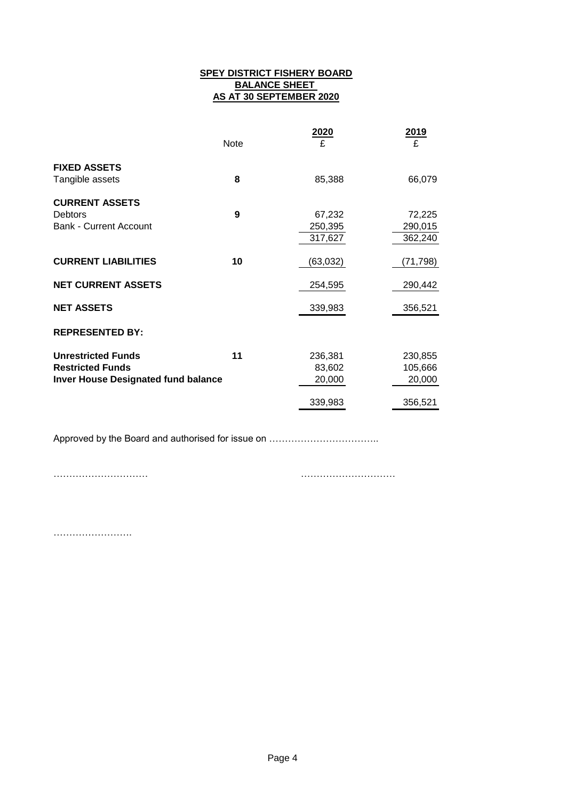## **SPEY DISTRICT FISHERY BOARD BALANCE SHEET AS AT 30 SEPTEMBER 2020**

|                                            |      | 2020      | 2019     |
|--------------------------------------------|------|-----------|----------|
|                                            | Note | £         | £        |
| <b>FIXED ASSETS</b>                        |      |           |          |
| Tangible assets                            | 8    | 85,388    | 66,079   |
| <b>CURRENT ASSETS</b>                      |      |           |          |
| <b>Debtors</b>                             | 9    | 67,232    | 72,225   |
| <b>Bank - Current Account</b>              |      | 250,395   | 290,015  |
|                                            |      | 317,627   | 362,240  |
| <b>CURRENT LIABILITIES</b>                 | 10   | (63, 032) | (71,798) |
| <b>NET CURRENT ASSETS</b>                  |      | 254,595   | 290,442  |
| <b>NET ASSETS</b>                          |      | 339,983   | 356,521  |
| <b>REPRESENTED BY:</b>                     |      |           |          |
| <b>Unrestricted Funds</b>                  | 11   | 236,381   | 230,855  |
| <b>Restricted Funds</b>                    |      | 83,602    | 105,666  |
| <b>Inver House Designated fund balance</b> |      | 20,000    | 20,000   |
|                                            |      | 339,983   | 356,521  |

Approved by the Board and authorised for issue on ……………………………..

………………………… …………………………

…………………….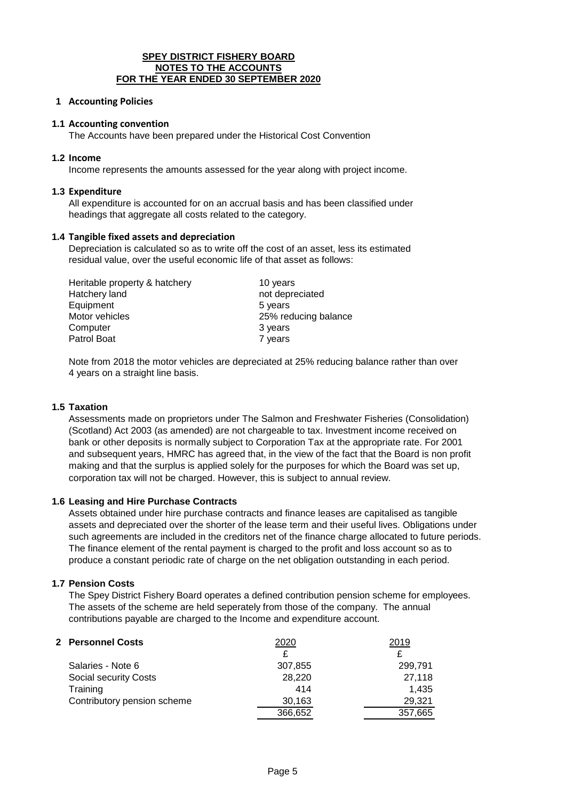#### **SPEY DISTRICT FISHERY BOARD NOTES TO THE ACCOUNTS FOR THE YEAR ENDED 30 SEPTEMBER 2020**

### **1 Accounting Policies**

#### **1.1 Accounting convention**

The Accounts have been prepared under the Historical Cost Convention

#### **1.2 Income**

Income represents the amounts assessed for the year along with project income.

#### **1.3 Expenditure**

All expenditure is accounted for on an accrual basis and has been classified under headings that aggregate all costs related to the category.

#### **1.4 Tangible fixed assets and depreciation**

Depreciation is calculated so as to write off the cost of an asset, less its estimated residual value, over the useful economic life of that asset as follows:

| Heritable property & hatchery | 10 years             |
|-------------------------------|----------------------|
| Hatchery land                 | not depreciated      |
| Equipment                     | 5 years              |
| Motor vehicles                | 25% reducing balance |
| Computer                      | 3 years              |
| Patrol Boat                   | 7 years              |

Note from 2018 the motor vehicles are depreciated at 25% reducing balance rather than over 4 years on a straight line basis.

## **1.5 Taxation**

Assessments made on proprietors under The Salmon and Freshwater Fisheries (Consolidation) (Scotland) Act 2003 (as amended) are not chargeable to tax. Investment income received on bank or other deposits is normally subject to Corporation Tax at the appropriate rate. For 2001 and subsequent years, HMRC has agreed that, in the view of the fact that the Board is non profit making and that the surplus is applied solely for the purposes for which the Board was set up, corporation tax will not be charged. However, this is subject to annual review.

## **1.6 Leasing and Hire Purchase Contracts**

Assets obtained under hire purchase contracts and finance leases are capitalised as tangible assets and depreciated over the shorter of the lease term and their useful lives. Obligations under such agreements are included in the creditors net of the finance charge allocated to future periods. The finance element of the rental payment is charged to the profit and loss account so as to produce a constant periodic rate of charge on the net obligation outstanding in each period.

## **1.7 Pension Costs**

The Spey District Fishery Board operates a defined contribution pension scheme for employees. The assets of the scheme are held seperately from those of the company. The annual contributions payable are charged to the Income and expenditure account.

| 2 Personnel Costs            | 2020    | 2019    |  |
|------------------------------|---------|---------|--|
|                              |         | £       |  |
| Salaries - Note 6            | 307,855 | 299.791 |  |
| <b>Social security Costs</b> | 28,220  | 27,118  |  |
| Training                     | 414     | 1.435   |  |
| Contributory pension scheme  | 30,163  | 29,321  |  |
|                              | 366,652 | 357,665 |  |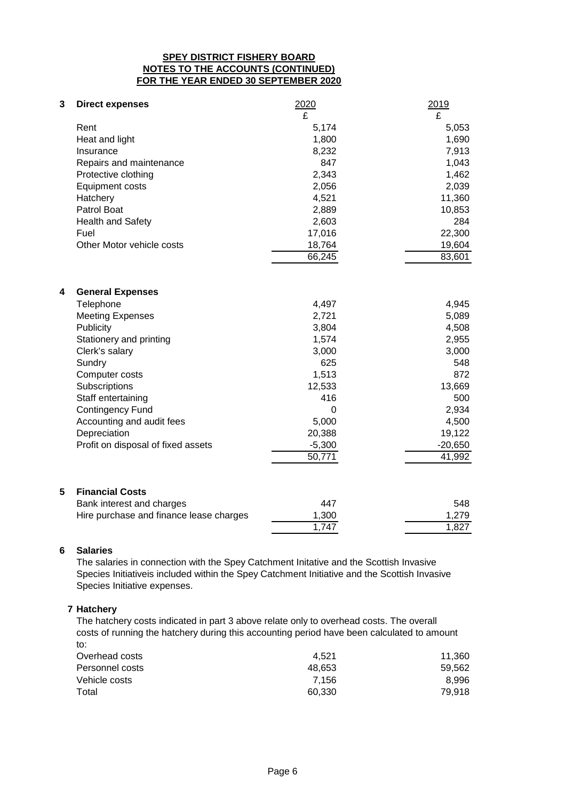## **SPEY DISTRICT FISHERY BOARD NOTES TO THE ACCOUNTS (CONTINUED) FOR THE YEAR ENDED 30 SEPTEMBER 2020**

| 3<br><b>Direct expenses</b>  |                           | 2020<br>£ | 2019<br>£ |
|------------------------------|---------------------------|-----------|-----------|
| Rent                         |                           | 5,174     | 5,053     |
| Heat and light               |                           | 1,800     | 1,690     |
| Insurance                    |                           | 8,232     | 7,913     |
|                              | Repairs and maintenance   | 847       | 1,043     |
| Protective clothing          |                           | 2,343     | 1,462     |
|                              |                           | 2,056     | 2,039     |
| Equipment costs              |                           |           |           |
| Hatchery                     |                           | 4,521     | 11,360    |
| Patrol Boat                  |                           | 2,889     | 10,853    |
| <b>Health and Safety</b>     |                           | 2,603     | 284       |
| Fuel                         |                           | 17,016    | 22,300    |
|                              | Other Motor vehicle costs | 18,764    | 19,604    |
|                              |                           | 66,245    | 83,601    |
|                              |                           |           |           |
| 4<br><b>General Expenses</b> |                           |           |           |
| Telephone                    |                           | 4,497     | 4,945     |
| <b>Meeting Expenses</b>      |                           | 2,721     | 5,089     |
| <b>Publicity</b>             |                           | 3,804     | 4,508     |
| Stationery and printing      |                           | 1,574     | 2,955     |
| Clerk's salary               |                           | 3,000     | 3,000     |
| Sundry                       |                           | 625       | 548       |
| Computer costs               |                           | 1,513     | 872       |
| Subscriptions                |                           | 12,533    | 13,669    |
| Staff entertaining           |                           | 416       | 500       |
| <b>Contingency Fund</b>      |                           | $\Omega$  | 2,934     |
|                              | Accounting and audit fees | 5,000     | 4,500     |
| Depreciation                 |                           | 20,388    | 19,122    |

## **5 Financial Costs**

| Bank interest and charges               | 447   | 548   |
|-----------------------------------------|-------|-------|
| Hire purchase and finance lease charges | 1.300 | 1.279 |
|                                         | 1.747 | 1.827 |

Profit on disposal of fixed assets -5,300 -20,650

50,771 41,992

## **6 Salaries**

The salaries in connection with the Spey Catchment Initative and the Scottish Invasive Species Initiativeis included within the Spey Catchment Initiative and the Scottish Invasive Species Initiative expenses.

## **7 Hatchery**

The hatchery costs indicated in part 3 above relate only to overhead costs. The overall costs of running the hatchery during this accounting period have been calculated to amount to:

| Overhead costs  | 4.521  | 11.360 |
|-----------------|--------|--------|
| Personnel costs | 48.653 | 59.562 |
| Vehicle costs   | 7.156  | 8.996  |
| Total           | 60.330 | 79.918 |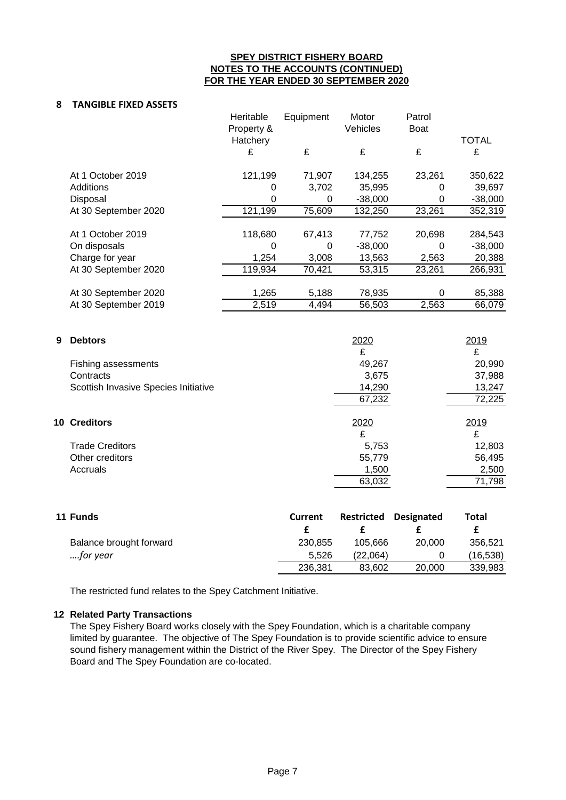## **SPEY DISTRICT FISHERY BOARD NOTES TO THE ACCOUNTS (CONTINUED) FOR THE YEAR ENDED 30 SEPTEMBER 2020**

#### **8 TANGIBLE FIXED ASSETS**

|   |                                      | Heritable<br>Property & | Equipment      | Motor<br>Vehicles | Patrol<br><b>Boat</b> |              |
|---|--------------------------------------|-------------------------|----------------|-------------------|-----------------------|--------------|
|   |                                      | Hatchery                |                |                   |                       | <b>TOTAL</b> |
|   |                                      | £                       | £              | £                 | £                     | £            |
|   | At 1 October 2019                    | 121,199                 | 71,907         | 134,255           | 23,261                | 350,622      |
|   | Additions                            | 0                       | 3,702          | 35,995            | 0                     | 39,697       |
|   | Disposal                             | 0                       | $\mathbf 0$    | $-38,000$         | 0                     | $-38,000$    |
|   | At 30 September 2020                 | 121,199                 | 75,609         | 132,250           | 23,261                | 352,319      |
|   | At 1 October 2019                    | 118,680                 | 67,413         | 77,752            | 20,698                | 284,543      |
|   | On disposals                         | $\Omega$                | 0              | $-38,000$         | 0                     | $-38,000$    |
|   | Charge for year                      | 1,254                   | 3,008          | 13,563            | 2,563                 | 20,388       |
|   | At 30 September 2020                 | 119,934                 | 70,421         | 53,315            | 23,261                | 266,931      |
|   | At 30 September 2020                 | 1,265                   | 5,188          | 78,935            | 0                     | 85,388       |
|   | At 30 September 2019                 | 2,519                   | 4,494          | 56,503            | 2,563                 | 66,079       |
|   |                                      |                         |                |                   |                       |              |
| 9 | <b>Debtors</b>                       |                         |                | 2020              |                       | 2019         |
|   |                                      |                         |                | £                 |                       | £            |
|   | <b>Fishing assessments</b>           |                         |                | 49,267            |                       | 20,990       |
|   | Contracts                            |                         |                | 3,675             |                       | 37,988       |
|   | Scottish Invasive Species Initiative |                         |                | 14,290            |                       | 13,247       |
|   |                                      |                         |                | 67,232            |                       | 72,225       |
|   | 10 Creditors                         |                         |                | 2020              |                       | 2019         |
|   |                                      |                         |                | £                 |                       | £            |
|   | <b>Trade Creditors</b>               |                         |                | 5,753             |                       | 12,803       |
|   | Other creditors                      |                         |                | 55,779            |                       | 56,495       |
|   | Accruals                             |                         |                | 1,500             |                       | 2,500        |
|   |                                      |                         |                | 63,032            |                       | 71,798       |
|   |                                      |                         |                |                   |                       |              |
|   | 11 Funds                             |                         | <b>Current</b> | <b>Restricted</b> | <b>Designated</b>     | <b>Total</b> |
|   |                                      |                         | £              | £                 | £                     | £            |
|   | Balance brought forward              |                         | 230,855        | 105,666           | 20,000                | 356,521      |

The restricted fund relates to the Spey Catchment Initiative.

## **12 Related Party Transactions**

The Spey Fishery Board works closely with the Spey Foundation, which is a charitable company limited by guarantee. The objective of The Spey Foundation is to provide scientific advice to ensure sound fishery management within the District of the River Spey. The Director of the Spey Fishery Board and The Spey Foundation are co-located.

*….for year* 5,526 (22,064) 0 (16,538)

236,381 83,602 20,000 339,983